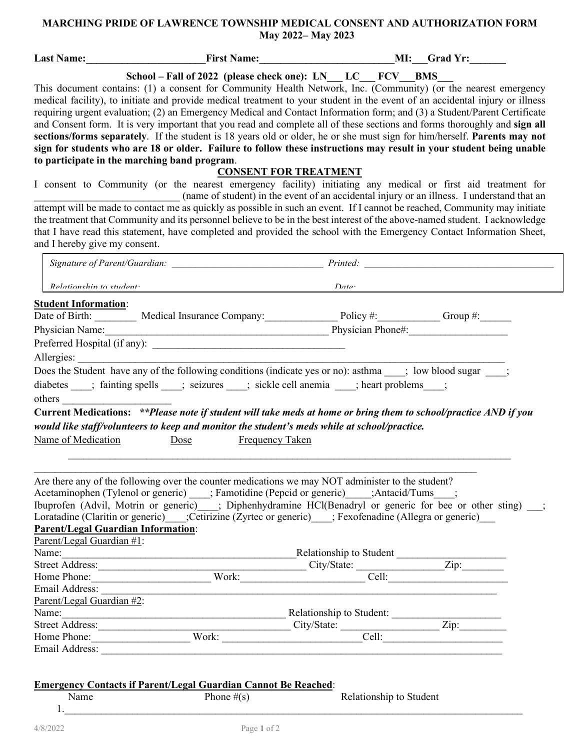## **MARCHING PRIDE OF LAWRENCE TOWNSHIP MEDICAL CONSENT AND AUTHORIZATION FORM May 2022– May 2023**

| Last Name:                                                                    | <b>Example 2018</b> First Name: The Example 2014 MI: Grad Yr:                                                                                                                                                                                                                                                                                                                                                                                                                                                                                                                                                                                                                                                                                                                                                                                                                                                                                                                                                                                                                                                                                                                                                                                                    |                              |                                                                                            |
|-------------------------------------------------------------------------------|------------------------------------------------------------------------------------------------------------------------------------------------------------------------------------------------------------------------------------------------------------------------------------------------------------------------------------------------------------------------------------------------------------------------------------------------------------------------------------------------------------------------------------------------------------------------------------------------------------------------------------------------------------------------------------------------------------------------------------------------------------------------------------------------------------------------------------------------------------------------------------------------------------------------------------------------------------------------------------------------------------------------------------------------------------------------------------------------------------------------------------------------------------------------------------------------------------------------------------------------------------------|------------------------------|--------------------------------------------------------------------------------------------|
|                                                                               | School – Fall of 2022 (please check one): LN LC FCV BMS                                                                                                                                                                                                                                                                                                                                                                                                                                                                                                                                                                                                                                                                                                                                                                                                                                                                                                                                                                                                                                                                                                                                                                                                          |                              |                                                                                            |
| to participate in the marching band program.<br>and I hereby give my consent. | This document contains: (1) a consent for Community Health Network, Inc. (Community) (or the nearest emergency<br>medical facility), to initiate and provide medical treatment to your student in the event of an accidental injury or illness<br>requiring urgent evaluation; (2) an Emergency Medical and Contact Information form; and (3) a Student/Parent Certificate<br>and Consent form. It is very important that you read and complete all of these sections and forms thoroughly and sign all<br>sections/forms separately. If the student is 18 years old or older, he or she must sign for him/herself. Parents may not<br>sign for students who are 18 or older. Failure to follow these instructions may result in your student being unable<br>I consent to Community (or the nearest emergency facility) initiating any medical or first aid treatment for<br>attempt will be made to contact me as quickly as possible in such an event. If I cannot be reached, Community may initiate<br>the treatment that Community and its personnel believe to be in the best interest of the above-named student. I acknowledge<br>that I have read this statement, have completed and provided the school with the Emergency Contact Information Sheet, | <b>CONSENT FOR TREATMENT</b> | (name of student) in the event of an accidental injury or an illness. I understand that an |
|                                                                               |                                                                                                                                                                                                                                                                                                                                                                                                                                                                                                                                                                                                                                                                                                                                                                                                                                                                                                                                                                                                                                                                                                                                                                                                                                                                  |                              |                                                                                            |
| Relationshin to student:                                                      |                                                                                                                                                                                                                                                                                                                                                                                                                                                                                                                                                                                                                                                                                                                                                                                                                                                                                                                                                                                                                                                                                                                                                                                                                                                                  | $\int$ <i>Date</i>           |                                                                                            |
| <b>Student Information:</b>                                                   |                                                                                                                                                                                                                                                                                                                                                                                                                                                                                                                                                                                                                                                                                                                                                                                                                                                                                                                                                                                                                                                                                                                                                                                                                                                                  |                              |                                                                                            |
|                                                                               | Date of Birth: Medical Insurance Company: Policy #: Croup #:                                                                                                                                                                                                                                                                                                                                                                                                                                                                                                                                                                                                                                                                                                                                                                                                                                                                                                                                                                                                                                                                                                                                                                                                     |                              |                                                                                            |
|                                                                               | Physician Name: 1990 Manuel Manuel Manuel Manuel Manuel Manuel Physician Phone#:                                                                                                                                                                                                                                                                                                                                                                                                                                                                                                                                                                                                                                                                                                                                                                                                                                                                                                                                                                                                                                                                                                                                                                                 |                              |                                                                                            |
|                                                                               |                                                                                                                                                                                                                                                                                                                                                                                                                                                                                                                                                                                                                                                                                                                                                                                                                                                                                                                                                                                                                                                                                                                                                                                                                                                                  |                              |                                                                                            |
| Allergies:                                                                    |                                                                                                                                                                                                                                                                                                                                                                                                                                                                                                                                                                                                                                                                                                                                                                                                                                                                                                                                                                                                                                                                                                                                                                                                                                                                  |                              |                                                                                            |
|                                                                               |                                                                                                                                                                                                                                                                                                                                                                                                                                                                                                                                                                                                                                                                                                                                                                                                                                                                                                                                                                                                                                                                                                                                                                                                                                                                  |                              |                                                                                            |
|                                                                               | Does the Student have any of the following conditions (indicate yes or no): asthma ___; low blood sugar ___;                                                                                                                                                                                                                                                                                                                                                                                                                                                                                                                                                                                                                                                                                                                                                                                                                                                                                                                                                                                                                                                                                                                                                     |                              |                                                                                            |
|                                                                               | diabetes ____; fainting spells ____; seizures ____; sickle cell anemia ____; heart problems____;                                                                                                                                                                                                                                                                                                                                                                                                                                                                                                                                                                                                                                                                                                                                                                                                                                                                                                                                                                                                                                                                                                                                                                 |                              |                                                                                            |
|                                                                               |                                                                                                                                                                                                                                                                                                                                                                                                                                                                                                                                                                                                                                                                                                                                                                                                                                                                                                                                                                                                                                                                                                                                                                                                                                                                  |                              |                                                                                            |
|                                                                               | Current Medications: **Please note if student will take meds at home or bring them to school/practice AND if you                                                                                                                                                                                                                                                                                                                                                                                                                                                                                                                                                                                                                                                                                                                                                                                                                                                                                                                                                                                                                                                                                                                                                 |                              |                                                                                            |
|                                                                               | would like staff/volunteers to keep and monitor the student's meds while at school/practice.                                                                                                                                                                                                                                                                                                                                                                                                                                                                                                                                                                                                                                                                                                                                                                                                                                                                                                                                                                                                                                                                                                                                                                     |                              |                                                                                            |
| Name of Medication                                                            | <b>Frequency Taken</b><br>Dose                                                                                                                                                                                                                                                                                                                                                                                                                                                                                                                                                                                                                                                                                                                                                                                                                                                                                                                                                                                                                                                                                                                                                                                                                                   |                              |                                                                                            |
|                                                                               |                                                                                                                                                                                                                                                                                                                                                                                                                                                                                                                                                                                                                                                                                                                                                                                                                                                                                                                                                                                                                                                                                                                                                                                                                                                                  |                              |                                                                                            |
|                                                                               |                                                                                                                                                                                                                                                                                                                                                                                                                                                                                                                                                                                                                                                                                                                                                                                                                                                                                                                                                                                                                                                                                                                                                                                                                                                                  |                              |                                                                                            |
|                                                                               |                                                                                                                                                                                                                                                                                                                                                                                                                                                                                                                                                                                                                                                                                                                                                                                                                                                                                                                                                                                                                                                                                                                                                                                                                                                                  |                              |                                                                                            |
|                                                                               | Are there any of the following over the counter medications we may NOT administer to the student?                                                                                                                                                                                                                                                                                                                                                                                                                                                                                                                                                                                                                                                                                                                                                                                                                                                                                                                                                                                                                                                                                                                                                                |                              |                                                                                            |
|                                                                               | Acetaminophen (Tylenol or generic) ____; Famotidine (Pepcid or generic) _____; Antacid/Tums____;                                                                                                                                                                                                                                                                                                                                                                                                                                                                                                                                                                                                                                                                                                                                                                                                                                                                                                                                                                                                                                                                                                                                                                 |                              |                                                                                            |
|                                                                               | Ibuprofen (Advil, Motrin or generic) ___; Diphenhydramine HCl(Benadryl or generic for bee or other sting) ___;                                                                                                                                                                                                                                                                                                                                                                                                                                                                                                                                                                                                                                                                                                                                                                                                                                                                                                                                                                                                                                                                                                                                                   |                              |                                                                                            |
|                                                                               | Loratadine (Claritin or generic)____;Cetirizine (Zyrtec or generic)____; Fexofenadine (Allegra or generic)___                                                                                                                                                                                                                                                                                                                                                                                                                                                                                                                                                                                                                                                                                                                                                                                                                                                                                                                                                                                                                                                                                                                                                    |                              |                                                                                            |
| <b>Parent/Legal Guardian Information:</b>                                     |                                                                                                                                                                                                                                                                                                                                                                                                                                                                                                                                                                                                                                                                                                                                                                                                                                                                                                                                                                                                                                                                                                                                                                                                                                                                  |                              |                                                                                            |
| Parent/Legal Guardian #1:                                                     |                                                                                                                                                                                                                                                                                                                                                                                                                                                                                                                                                                                                                                                                                                                                                                                                                                                                                                                                                                                                                                                                                                                                                                                                                                                                  |                              |                                                                                            |
|                                                                               |                                                                                                                                                                                                                                                                                                                                                                                                                                                                                                                                                                                                                                                                                                                                                                                                                                                                                                                                                                                                                                                                                                                                                                                                                                                                  |                              |                                                                                            |
|                                                                               |                                                                                                                                                                                                                                                                                                                                                                                                                                                                                                                                                                                                                                                                                                                                                                                                                                                                                                                                                                                                                                                                                                                                                                                                                                                                  |                              |                                                                                            |
|                                                                               |                                                                                                                                                                                                                                                                                                                                                                                                                                                                                                                                                                                                                                                                                                                                                                                                                                                                                                                                                                                                                                                                                                                                                                                                                                                                  |                              |                                                                                            |
| Email Address:                                                                |                                                                                                                                                                                                                                                                                                                                                                                                                                                                                                                                                                                                                                                                                                                                                                                                                                                                                                                                                                                                                                                                                                                                                                                                                                                                  |                              |                                                                                            |
| Parent/Legal Guardian #2:                                                     |                                                                                                                                                                                                                                                                                                                                                                                                                                                                                                                                                                                                                                                                                                                                                                                                                                                                                                                                                                                                                                                                                                                                                                                                                                                                  |                              |                                                                                            |
|                                                                               |                                                                                                                                                                                                                                                                                                                                                                                                                                                                                                                                                                                                                                                                                                                                                                                                                                                                                                                                                                                                                                                                                                                                                                                                                                                                  |                              |                                                                                            |
|                                                                               | Name:<br>Relationship to Student:<br>City/State:<br>City/State:<br>City/State:<br>City/State:                                                                                                                                                                                                                                                                                                                                                                                                                                                                                                                                                                                                                                                                                                                                                                                                                                                                                                                                                                                                                                                                                                                                                                    |                              |                                                                                            |
|                                                                               | Home Phone: Work: Work: Cell:                                                                                                                                                                                                                                                                                                                                                                                                                                                                                                                                                                                                                                                                                                                                                                                                                                                                                                                                                                                                                                                                                                                                                                                                                                    |                              |                                                                                            |
|                                                                               |                                                                                                                                                                                                                                                                                                                                                                                                                                                                                                                                                                                                                                                                                                                                                                                                                                                                                                                                                                                                                                                                                                                                                                                                                                                                  |                              |                                                                                            |
|                                                                               |                                                                                                                                                                                                                                                                                                                                                                                                                                                                                                                                                                                                                                                                                                                                                                                                                                                                                                                                                                                                                                                                                                                                                                                                                                                                  |                              |                                                                                            |
|                                                                               |                                                                                                                                                                                                                                                                                                                                                                                                                                                                                                                                                                                                                                                                                                                                                                                                                                                                                                                                                                                                                                                                                                                                                                                                                                                                  |                              |                                                                                            |
|                                                                               |                                                                                                                                                                                                                                                                                                                                                                                                                                                                                                                                                                                                                                                                                                                                                                                                                                                                                                                                                                                                                                                                                                                                                                                                                                                                  |                              |                                                                                            |
|                                                                               | <b>Emergency Contacts if Parent/Legal Guardian Cannot Be Reached:</b>                                                                                                                                                                                                                                                                                                                                                                                                                                                                                                                                                                                                                                                                                                                                                                                                                                                                                                                                                                                                                                                                                                                                                                                            |                              |                                                                                            |
| Name                                                                          | Phone $\#(s)$                                                                                                                                                                                                                                                                                                                                                                                                                                                                                                                                                                                                                                                                                                                                                                                                                                                                                                                                                                                                                                                                                                                                                                                                                                                    | Relationship to Student      |                                                                                            |

 $1.$